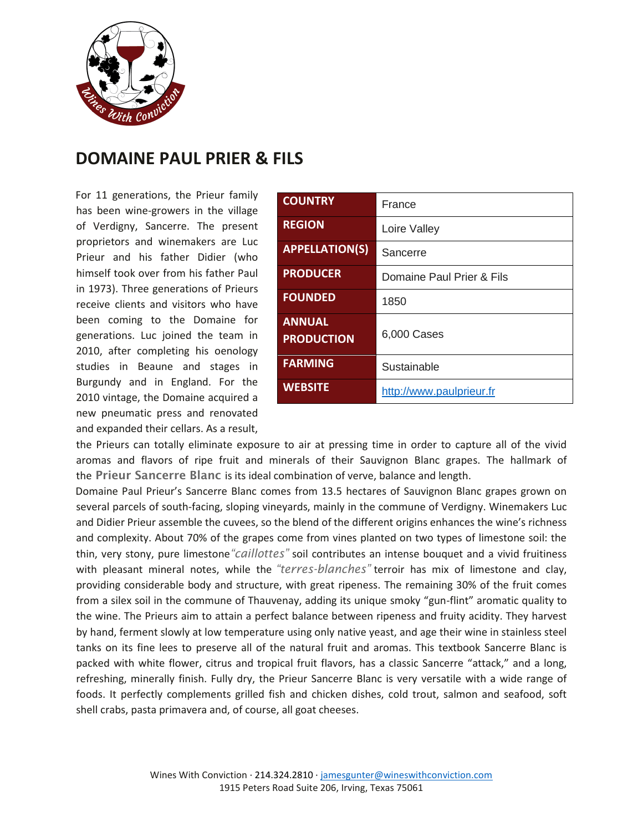

## **DOMAINE PAUL PRIER & FILS**

For 11 generations, the Prieur family has been wine-growers in the village of Verdigny, Sancerre. The present proprietors and winemakers are Luc Prieur and his father Didier (who himself took over from his father Paul in 1973). Three generations of Prieurs receive clients and visitors who have been coming to the Domaine for generations. Luc joined the team in 2010, after completing his oenology studies in Beaune and stages in Burgundy and in England. For the 2010 vintage, the Domaine acquired a new pneumatic press and renovated and expanded their cellars. As a result,

| <b>COUNTRY</b>                     | France                    |
|------------------------------------|---------------------------|
| <b>REGION</b>                      | Loire Valley              |
| <b>APPELLATION(S)</b>              | Sancerre                  |
| <b>PRODUCER</b>                    | Domaine Paul Prier & Fils |
| <b>FOUNDED</b>                     | 1850                      |
| <b>ANNUAL</b><br><b>PRODUCTION</b> | 6,000 Cases               |
| <b>FARMING</b>                     | Sustainable               |
| <b>WEBSITE</b>                     | http://www.paulprieur.fr  |

the Prieurs can totally eliminate exposure to air at pressing time in order to capture all of the vivid aromas and flavors of ripe fruit and minerals of their Sauvignon Blanc grapes. The hallmark of the **Prieur Sancerre Blanc** is its ideal combination of verve, balance and length.

Domaine Paul Prieur's Sancerre Blanc comes from 13.5 hectares of Sauvignon Blanc grapes grown on several parcels of south-facing, sloping vineyards, mainly in the commune of Verdigny. Winemakers Luc and Didier Prieur assemble the cuvees, so the blend of the different origins enhances the wine's richness and complexity. About 70% of the grapes come from vines planted on two types of limestone soil: the thin, very stony, pure limestone*"caillottes"* soil contributes an intense bouquet and a vivid fruitiness with pleasant mineral notes, while the *"terres-blanches"* terroir has mix of limestone and clay, providing considerable body and structure, with great ripeness. The remaining 30% of the fruit comes from a silex soil in the commune of Thauvenay, adding its unique smoky "gun-flint" aromatic quality to the wine. The Prieurs aim to attain a perfect balance between ripeness and fruity acidity. They harvest by hand, ferment slowly at low temperature using only native yeast, and age their wine in stainless steel tanks on its fine lees to preserve all of the natural fruit and aromas. This textbook Sancerre Blanc is packed with white flower, citrus and tropical fruit flavors, has a classic Sancerre "attack," and a long, refreshing, minerally finish. Fully dry, the Prieur Sancerre Blanc is very versatile with a wide range of foods. It perfectly complements grilled fish and chicken dishes, cold trout, salmon and seafood, soft shell crabs, pasta primavera and, of course, all goat cheeses.